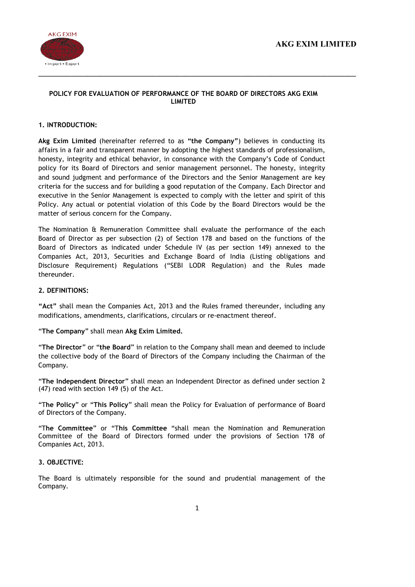

# POLICY FOR EVALUATION OF PERFORMANCE OF THE BOARD OF DIRECTORS AKG EXIM LIMITED

 $\_$  , and the contribution of the contribution of the contribution of the contribution of the contribution of  $\sim$ 

# 1. INTRODUCTION:

Akg Exim Limited (hereinafter referred to as "the Company") believes in conducting its affairs in a fair and transparent manner by adopting the highest standards of professionalism, honesty, integrity and ethical behavior, in consonance with the Company's Code of Conduct policy for its Board of Directors and senior management personnel. The honesty, integrity and sound judgment and performance of the Directors and the Senior Management are key criteria for the success and for building a good reputation of the Company. Each Director and executive in the Senior Management is expected to comply with the letter and spirit of this Policy. Any actual or potential violation of this Code by the Board Directors would be the matter of serious concern for the Company.

The Nomination & Remuneration Committee shall evaluate the performance of the each Board of Director as per subsection (2) of Section 178 and based on the functions of the Board of Directors as indicated under Schedule IV (as per section 149) annexed to the Companies Act, 2013, Securities and Exchange Board of India (Listing obligations and Disclosure Requirement) Regulations ("SEBI LODR Regulation) and the Rules made thereunder.

# 2. DEFINITIONS:

"Act" shall mean the Companies Act, 2013 and the Rules framed thereunder, including any modifications, amendments, clarifications, circulars or re-enactment thereof.

"The Company" shall mean Akg Exim Limited.

"The Director" or "the Board" in relation to the Company shall mean and deemed to include the collective body of the Board of Directors of the Company including the Chairman of the Company.

"The Independent Director" shall mean an Independent Director as defined under section 2 (47) read with section 149 (5) of the Act.

"The Policy" or "This Policy" shall mean the Policy for Evaluation of performance of Board of Directors of the Company.

"The Committee" or "This Committee "shall mean the Nomination and Remuneration Committee of the Board of Directors formed under the provisions of Section 178 of Companies Act, 2013.

## 3. OBJECTIVE:

The Board is ultimately responsible for the sound and prudential management of the Company.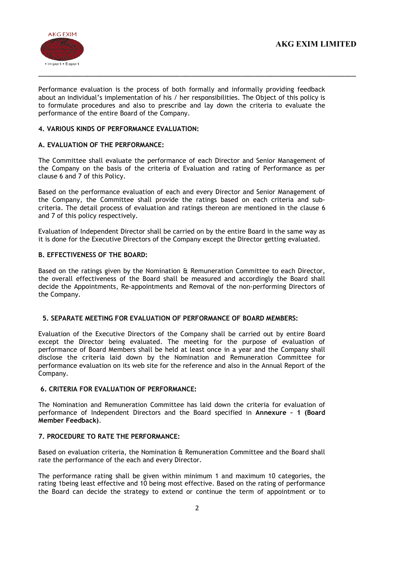

Performance evaluation is the process of both formally and informally providing feedback about an individual's implementation of his / her responsibilities. The Object of this policy is to formulate procedures and also to prescribe and lay down the criteria to evaluate the performance of the entire Board of the Company.

# 4. VARIOUS KINDS OF PERFORMANCE EVALUATION:

# A. EVALUATION OF THE PERFORMANCE:

The Committee shall evaluate the performance of each Director and Senior Management of the Company on the basis of the criteria of Evaluation and rating of Performance as per clause 6 and 7 of this Policy.

Based on the performance evaluation of each and every Director and Senior Management of the Company, the Committee shall provide the ratings based on each criteria and subcriteria. The detail process of evaluation and ratings thereon are mentioned in the clause 6 and 7 of this policy respectively.

Evaluation of Independent Director shall be carried on by the entire Board in the same way as it is done for the Executive Directors of the Company except the Director getting evaluated.

## B. EFFECTIVENESS OF THE BOARD:

Based on the ratings given by the Nomination & Remuneration Committee to each Director, the overall effectiveness of the Board shall be measured and accordingly the Board shall decide the Appointments, Re-appointments and Removal of the non-performing Directors of the Company.

#### 5. SEPARATE MEETING FOR EVALUATION OF PERFORMANCE OF BOARD MEMBERS:

Evaluation of the Executive Directors of the Company shall be carried out by entire Board except the Director being evaluated. The meeting for the purpose of evaluation of performance of Board Members shall be held at least once in a year and the Company shall disclose the criteria laid down by the Nomination and Remuneration Committee for performance evaluation on its web site for the reference and also in the Annual Report of the Company.

## 6. CRITERIA FOR EVALUATION OF PERFORMANCE:

The Nomination and Remuneration Committee has laid down the criteria for evaluation of performance of Independent Directors and the Board specified in Annexure – 1 (Board Member Feedback).

## 7. PROCEDURE TO RATE THE PERFORMANCE:

Based on evaluation criteria, the Nomination & Remuneration Committee and the Board shall rate the performance of the each and every Director.

The performance rating shall be given within minimum 1 and maximum 10 categories, the rating 1being least effective and 10 being most effective. Based on the rating of performance the Board can decide the strategy to extend or continue the term of appointment or to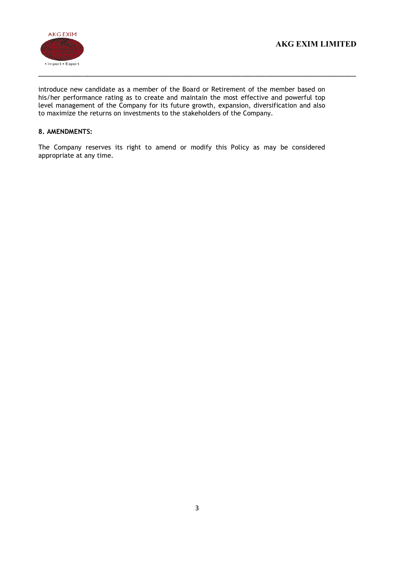

introduce new candidate as a member of the Board or Retirement of the member based on his/her performance rating as to create and maintain the most effective and powerful top level management of the Company for its future growth, expansion, diversification and also to maximize the returns on investments to the stakeholders of the Company.

# 8. AMENDMENTS:

The Company reserves its right to amend or modify this Policy as may be considered appropriate at any time.